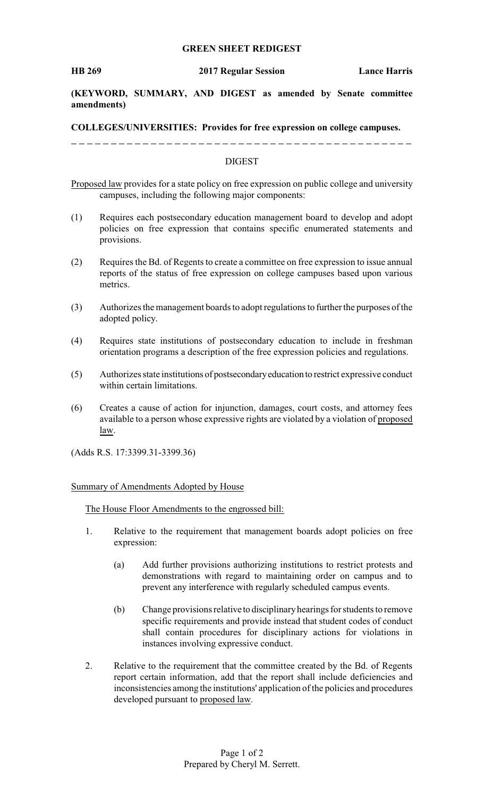## **GREEN SHEET REDIGEST**

**(KEYWORD, SUMMARY, AND DIGEST as amended by Senate committee amendments)**

**COLLEGES/UNIVERSITIES: Provides for free expression on college campuses.**

## DIGEST

Proposed law provides for a state policy on free expression on public college and university campuses, including the following major components:

- (1) Requires each postsecondary education management board to develop and adopt policies on free expression that contains specific enumerated statements and provisions.
- (2) Requires the Bd. of Regents to create a committee on free expression to issue annual reports of the status of free expression on college campuses based upon various metrics.
- (3) Authorizes the management boards to adopt regulations to further the purposes of the adopted policy.
- (4) Requires state institutions of postsecondary education to include in freshman orientation programs a description of the free expression policies and regulations.
- (5) Authorizes state institutions of postsecondaryeducation to restrict expressive conduct within certain limitations.
- (6) Creates a cause of action for injunction, damages, court costs, and attorney fees available to a person whose expressive rights are violated by a violation of proposed law.

(Adds R.S. 17:3399.31-3399.36)

## Summary of Amendments Adopted by House

The House Floor Amendments to the engrossed bill:

- 1. Relative to the requirement that management boards adopt policies on free expression:
	- (a) Add further provisions authorizing institutions to restrict protests and demonstrations with regard to maintaining order on campus and to prevent any interference with regularly scheduled campus events.
	- (b) Change provisions relative to disciplinaryhearings for students to remove specific requirements and provide instead that student codes of conduct shall contain procedures for disciplinary actions for violations in instances involving expressive conduct.
- 2. Relative to the requirement that the committee created by the Bd. of Regents report certain information, add that the report shall include deficiencies and inconsistencies among the institutions' application of the policies and procedures developed pursuant to proposed law.